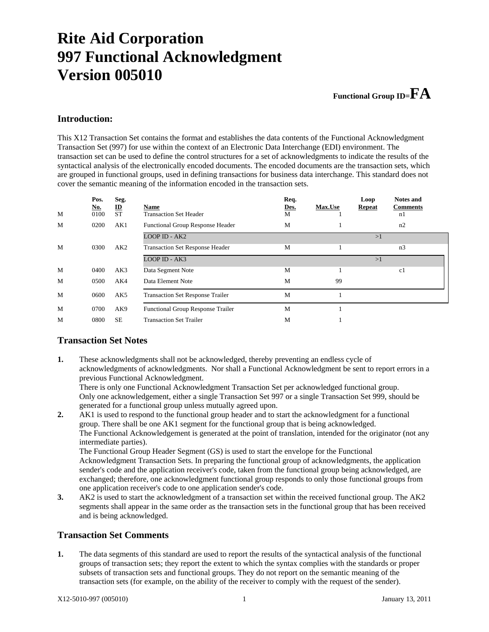# **Rite Aid Corporation 997 Functional Acknowledgment Version 005010**

### **Functional Group ID=FA**

### **Introduction:**

This X12 Transaction Set contains the format and establishes the data contents of the Functional Acknowledgment Transaction Set (997) for use within the context of an Electronic Data Interchange (EDI) environment. The transaction set can be used to define the control structures for a set of acknowledgments to indicate the results of the syntactical analysis of the electronically encoded documents. The encoded documents are the transaction sets, which are grouped in functional groups, used in defining transactions for business data interchange. This standard does not cover the semantic meaning of the information encoded in the transaction sets.

|   | Pos.<br><u>No.</u> | Seg.<br>$\mathbf I$ | Name                                     | Req.<br>Des. | <b>Max.Use</b> | Loop<br><b>Repeat</b> | <b>Notes and</b><br><b>Comments</b> |
|---|--------------------|---------------------|------------------------------------------|--------------|----------------|-----------------------|-------------------------------------|
| M | 0100               | <b>ST</b>           | <b>Transaction Set Header</b>            | М            |                |                       | n1                                  |
| M | 0200               | AK1                 | <b>Functional Group Response Header</b>  | M            | 1              |                       | n2                                  |
|   |                    |                     | LOOP ID - AK2                            |              |                | >1                    |                                     |
| M | 0300               | AK2                 | <b>Transaction Set Response Header</b>   | M            | -1             |                       | n <sub>3</sub>                      |
|   |                    |                     | LOOP ID - AK3                            |              |                | >1                    |                                     |
| M | 0400               | AK3                 | Data Segment Note                        | M            | -1             |                       | c1                                  |
| M | 0500               | AK4                 | Data Element Note                        | M            | 99             |                       |                                     |
| M | 0600               | AK <sub>5</sub>     | <b>Transaction Set Response Trailer</b>  | M            |                |                       |                                     |
| M | 0700               | AK9                 | <b>Functional Group Response Trailer</b> | M            |                |                       |                                     |
| M | 0800               | <b>SE</b>           | <b>Transaction Set Trailer</b>           | M            |                |                       |                                     |

### **Transaction Set Notes**

**1.** These acknowledgments shall not be acknowledged, thereby preventing an endless cycle of acknowledgments of acknowledgments. Nor shall a Functional Acknowledgment be sent to report errors in a previous Functional Acknowledgment.

 There is only one Functional Acknowledgment Transaction Set per acknowledged functional group. Only one acknowledgement, either a single Transaction Set 997 or a single Transaction Set 999, should be generated for a functional group unless mutually agreed upon.

**2.** AK1 is used to respond to the functional group header and to start the acknowledgment for a functional group. There shall be one AK1 segment for the functional group that is being acknowledged. The Functional Acknowledgement is generated at the point of translation, intended for the originator (not any intermediate parties).

 The Functional Group Header Segment (GS) is used to start the envelope for the Functional Acknowledgment Transaction Sets. In preparing the functional group of acknowledgments, the application sender's code and the application receiver's code, taken from the functional group being acknowledged, are exchanged; therefore, one acknowledgment functional group responds to only those functional groups from one application receiver's code to one application sender's code.

**3.** AK2 is used to start the acknowledgment of a transaction set within the received functional group. The AK2 segments shall appear in the same order as the transaction sets in the functional group that has been received and is being acknowledged.

### **Transaction Set Comments**

**1.** The data segments of this standard are used to report the results of the syntactical analysis of the functional groups of transaction sets; they report the extent to which the syntax complies with the standards or proper subsets of transaction sets and functional groups. They do not report on the semantic meaning of the transaction sets (for example, on the ability of the receiver to comply with the request of the sender).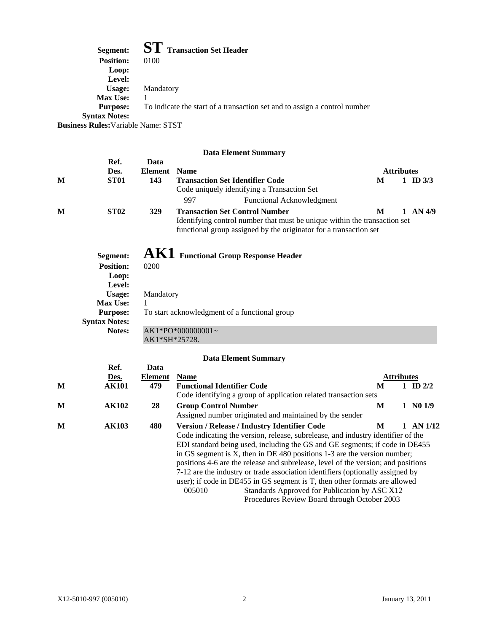|                                            | Segment: ST Transaction Set Header                                        |
|--------------------------------------------|---------------------------------------------------------------------------|
| <b>Position:</b>                           | 0100                                                                      |
| Loop:                                      |                                                                           |
| Level:                                     |                                                                           |
| Usage:                                     | Mandatory                                                                 |
| <b>Max Use:</b>                            |                                                                           |
| <b>Purpose:</b>                            | To indicate the start of a transaction set and to assign a control number |
| <b>Syntax Notes:</b>                       |                                                                           |
| <b>Business Rules:</b> Variable Name: STST |                                                                           |

### **Data Element Summary**

|   |                      |               | Баш Екикие байнийн у                                                                                                                           |                   |  |            |  |  |
|---|----------------------|---------------|------------------------------------------------------------------------------------------------------------------------------------------------|-------------------|--|------------|--|--|
|   | Ref.                 | Data          |                                                                                                                                                |                   |  |            |  |  |
|   | <u>Des.</u>          | Element       | <b>Name</b>                                                                                                                                    | <b>Attributes</b> |  |            |  |  |
| M | <b>ST01</b>          | 143           | <b>Transaction Set Identifier Code</b>                                                                                                         | M                 |  | 1 ID $3/3$ |  |  |
|   |                      |               | Code uniquely identifying a Transaction Set                                                                                                    |                   |  |            |  |  |
|   |                      |               | 997<br>Functional Acknowledgment                                                                                                               |                   |  |            |  |  |
| M | <b>ST02</b>          | <b>329</b>    | <b>Transaction Set Control Number</b>                                                                                                          | M                 |  | $1$ AN 4/9 |  |  |
|   |                      |               | Identifying control number that must be unique within the transaction set<br>functional group assigned by the originator for a transaction set |                   |  |            |  |  |
|   | Segment:             |               | AK1 Functional Group Response Header                                                                                                           |                   |  |            |  |  |
|   | <b>Position:</b>     | 0200          |                                                                                                                                                |                   |  |            |  |  |
|   | Loop:                |               |                                                                                                                                                |                   |  |            |  |  |
|   | Level:               |               |                                                                                                                                                |                   |  |            |  |  |
|   | Usage:               | Mandatory     |                                                                                                                                                |                   |  |            |  |  |
|   | <b>Max Use:</b>      | 1             |                                                                                                                                                |                   |  |            |  |  |
|   | <b>Purpose:</b>      |               | To start acknowledgment of a functional group                                                                                                  |                   |  |            |  |  |
|   | <b>Syntax Notes:</b> |               |                                                                                                                                                |                   |  |            |  |  |
|   | Notes:               |               | $AK1*PO*000000001-$                                                                                                                            |                   |  |            |  |  |
|   |                      | AK1*SH*25728. |                                                                                                                                                |                   |  |            |  |  |
|   |                      |               |                                                                                                                                                |                   |  |            |  |  |

### **Data Element Summary**

|   |              |                | рата еленісін зинішат                                                             |   |                   |            |         |  |
|---|--------------|----------------|-----------------------------------------------------------------------------------|---|-------------------|------------|---------|--|
|   | Ref.         | Data           |                                                                                   |   |                   |            |         |  |
|   | Des.         | <b>Element</b> | <b>Name</b>                                                                       |   | <b>Attributes</b> |            |         |  |
| M | <b>AK101</b> | 479            | <b>Functional Identifier Code</b>                                                 | M |                   | 1 ID $2/2$ |         |  |
|   |              |                | Code identifying a group of application related transaction sets                  |   |                   |            |         |  |
| M | <b>AK102</b> | 28             | <b>Group Control Number</b>                                                       | M |                   | 1 N01/9    |         |  |
|   |              |                | Assigned number originated and maintained by the sender                           |   |                   |            |         |  |
| M | <b>AK103</b> | 480            | <b>Version / Release / Industry Identifier Code</b>                               | M |                   |            | AN 1/12 |  |
|   |              |                | Code indicating the version, release, subrelease, and industry identifier of the  |   |                   |            |         |  |
|   |              |                | EDI standard being used, including the GS and GE segments; if code in DE455       |   |                   |            |         |  |
|   |              |                | in GS segment is X, then in DE 480 positions $1-3$ are the version number;        |   |                   |            |         |  |
|   |              |                | positions 4-6 are the release and subrelease, level of the version; and positions |   |                   |            |         |  |
|   |              |                | 7-12 are the industry or trade association identifiers (optionally assigned by    |   |                   |            |         |  |
|   |              |                | user); if code in DE455 in GS segment is T, then other formats are allowed        |   |                   |            |         |  |
|   |              |                | Standards Approved for Publication by ASC X12<br>005010                           |   |                   |            |         |  |
|   |              |                |                                                                                   |   |                   |            |         |  |

Procedures Review Board through October 2003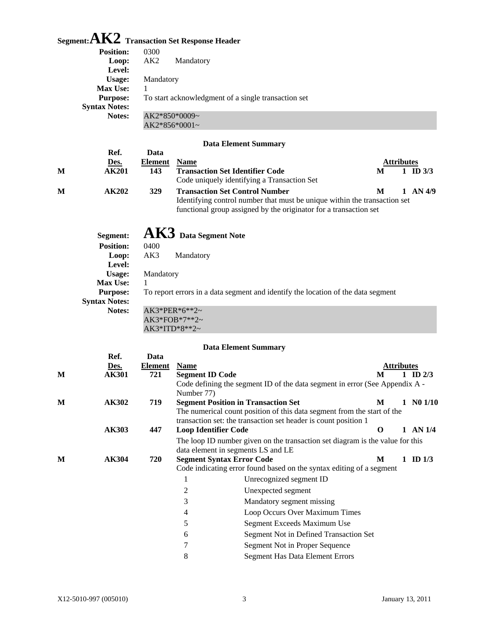## **Segment:AK2 Transaction Set Response Header**

 **Ref. Data** 

| 0300<br>AK <sub>2</sub>                             | Mandatory       |  |  |  |  |
|-----------------------------------------------------|-----------------|--|--|--|--|
|                                                     |                 |  |  |  |  |
| Mandatory                                           |                 |  |  |  |  |
|                                                     |                 |  |  |  |  |
| To start acknowledgment of a single transaction set |                 |  |  |  |  |
|                                                     |                 |  |  |  |  |
|                                                     | $AK2*850*0009-$ |  |  |  |  |
|                                                     | $AK2*856*0001-$ |  |  |  |  |
|                                                     |                 |  |  |  |  |

### **Data Element Summary**

|   | Des.             | <b>Element</b> | <b>Name</b>                                                                                                                                                                             | <b>Attributes</b> |              |
|---|------------------|----------------|-----------------------------------------------------------------------------------------------------------------------------------------------------------------------------------------|-------------------|--------------|
| М | AK201            | 143            | <b>Transaction Set Identifier Code</b><br>Code uniquely identifying a Transaction Set                                                                                                   | M                 | ID $3/3$     |
| М | AK202            | <b>329</b>     | <b>Transaction Set Control Number</b><br>Identifying control number that must be unique within the transaction set<br>functional group assigned by the originator for a transaction set | M                 | $1$ AN $4/9$ |
|   | Segment:         |                | $\overline{\text{AK3}}$ Data Segment Note                                                                                                                                               |                   |              |
|   | <b>Position:</b> | 0400           |                                                                                                                                                                                         |                   |              |
|   | Loop:            | AK3            | Mandatory                                                                                                                                                                               |                   |              |
|   | Level:           |                |                                                                                                                                                                                         |                   |              |
|   | Usage:           | Mandatory      |                                                                                                                                                                                         |                   |              |
|   | <b>Max Use:</b>  |                |                                                                                                                                                                                         |                   |              |
|   | <b>Purpose:</b>  |                | To report errors in a data segment and identify the location of the data segment                                                                                                        |                   |              |
|   |                  |                |                                                                                                                                                                                         |                   |              |

**Syntax Notes:**

**Notes:** AK3\*PER\*6\*\*2~ AK3\*FOB\*7\*\*2~ AK3\*ITD\*8\*\*2~

### **Data Element Summary**

|   | Ref.         | Data    |                                                                         |                                                                               |   |            |              |  |
|---|--------------|---------|-------------------------------------------------------------------------|-------------------------------------------------------------------------------|---|------------|--------------|--|
|   | <u>Des.</u>  | Element | <b>Name</b>                                                             |                                                                               |   | Attributes |              |  |
| M | AK301        | 721     | <b>Segment ID Code</b>                                                  |                                                                               | M |            | 1 ID $2/3$   |  |
|   |              |         |                                                                         | Code defining the segment ID of the data segment in error (See Appendix A -   |   |            |              |  |
|   |              |         | Number 77)                                                              |                                                                               |   |            |              |  |
| M | <b>AK302</b> | 719     |                                                                         | <b>Segment Position in Transaction Set</b>                                    | М |            | 1 N01/10     |  |
|   |              |         | The numerical count position of this data segment from the start of the |                                                                               |   |            |              |  |
|   |              |         |                                                                         | transaction set: the transaction set header is count position 1               |   |            |              |  |
|   | AK303        | 447     |                                                                         | <b>Loop Identifier Code</b>                                                   | O |            | $1$ AN $1/4$ |  |
|   |              |         |                                                                         | The loop ID number given on the transaction set diagram is the value for this |   |            |              |  |
|   |              |         |                                                                         | data element in segments LS and LE                                            |   |            |              |  |
| M | AK304        | 720     |                                                                         | <b>Segment Syntax Error Code</b>                                              | M |            | ID $1/3$     |  |
|   |              |         |                                                                         | Code indicating error found based on the syntax editing of a segment          |   |            |              |  |
|   |              |         | 1                                                                       | Unrecognized segment ID                                                       |   |            |              |  |
|   |              |         | 2                                                                       | Unexpected segment                                                            |   |            |              |  |
|   |              |         | 3                                                                       | Mandatory segment missing                                                     |   |            |              |  |
|   |              |         | 4                                                                       | Loop Occurs Over Maximum Times                                                |   |            |              |  |
|   |              |         | 5                                                                       | Segment Exceeds Maximum Use                                                   |   |            |              |  |
|   |              |         | 6                                                                       | Segment Not in Defined Transaction Set                                        |   |            |              |  |
|   |              |         | 7                                                                       | Segment Not in Proper Sequence                                                |   |            |              |  |
|   |              |         | 8                                                                       | <b>Segment Has Data Element Errors</b>                                        |   |            |              |  |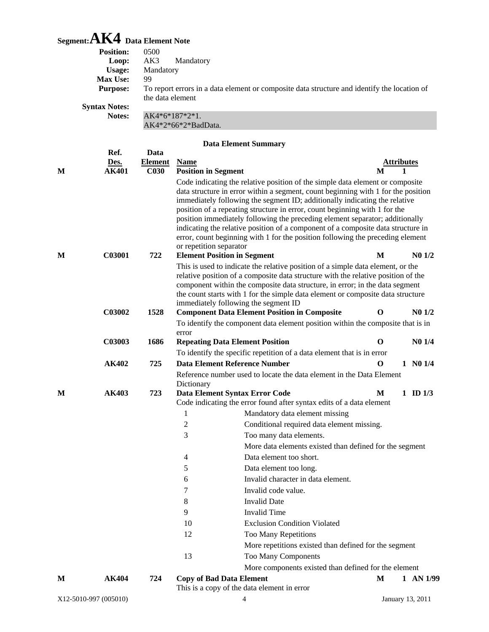# **Segment:AK4 Data Element Note**

|   | <b>Position:</b>            | 0500                               |                                    |                                                                                                                                                                    |                        |   |                          |
|---|-----------------------------|------------------------------------|------------------------------------|--------------------------------------------------------------------------------------------------------------------------------------------------------------------|------------------------|---|--------------------------|
|   | Loop:                       | AK3                                | Mandatory                          |                                                                                                                                                                    |                        |   |                          |
|   | <b>Usage:</b>               | Mandatory                          |                                    |                                                                                                                                                                    |                        |   |                          |
|   | Max Use:<br><b>Purpose:</b> | 99                                 |                                    | To report errors in a data element or composite data structure and identify the location of                                                                        |                        |   |                          |
|   |                             | the data element                   |                                    |                                                                                                                                                                    |                        |   |                          |
|   | <b>Syntax Notes:</b>        |                                    |                                    |                                                                                                                                                                    |                        |   |                          |
|   | Notes:                      | AK4*6*187*2*1.                     |                                    |                                                                                                                                                                    |                        |   |                          |
|   |                             |                                    | AK4*2*66*2*BadData.                |                                                                                                                                                                    |                        |   |                          |
|   |                             |                                    |                                    | <b>Data Element Summary</b>                                                                                                                                        |                        |   |                          |
|   | Ref.                        | Data                               |                                    |                                                                                                                                                                    |                        |   |                          |
| M | Des.<br><b>AK401</b>        | <b>Element</b><br>C <sub>030</sub> | <b>Name</b>                        |                                                                                                                                                                    | <u>Attributes</u><br>M | 1 |                          |
|   |                             |                                    | <b>Position in Segment</b>         |                                                                                                                                                                    |                        |   |                          |
|   |                             |                                    |                                    | Code indicating the relative position of the simple data element or composite<br>data structure in error within a segment, count beginning with 1 for the position |                        |   |                          |
|   |                             |                                    |                                    | immediately following the segment ID; additionally indicating the relative                                                                                         |                        |   |                          |
|   |                             |                                    |                                    | position of a repeating structure in error, count beginning with 1 for the                                                                                         |                        |   |                          |
|   |                             |                                    |                                    | position immediately following the preceding element separator; additionally                                                                                       |                        |   |                          |
|   |                             |                                    |                                    | indicating the relative position of a component of a composite data structure in                                                                                   |                        |   |                          |
|   |                             |                                    | or repetition separator            | error, count beginning with 1 for the position following the preceding element                                                                                     |                        |   |                          |
| M | C03001                      | 722                                | <b>Element Position in Segment</b> |                                                                                                                                                                    | M                      |   | N <sub>0</sub> 1/2       |
|   |                             |                                    |                                    | This is used to indicate the relative position of a simple data element, or the                                                                                    |                        |   |                          |
|   |                             |                                    |                                    | relative position of a composite data structure with the relative position of the                                                                                  |                        |   |                          |
|   |                             |                                    |                                    | component within the composite data structure, in error; in the data segment                                                                                       |                        |   |                          |
|   |                             |                                    |                                    | the count starts with 1 for the simple data element or composite data structure                                                                                    |                        |   |                          |
|   | C03002                      | 1528                               |                                    | immediately following the segment ID<br><b>Component Data Element Position in Composite</b>                                                                        | $\bf{O}$               |   | $N0$ $1/2$               |
|   |                             |                                    |                                    | To identify the component data element position within the composite that is in                                                                                    |                        |   |                          |
|   |                             |                                    | error                              |                                                                                                                                                                    |                        |   |                          |
|   | C03003                      | 1686                               |                                    | <b>Repeating Data Element Position</b>                                                                                                                             | $\mathbf 0$            |   | N <sub>0</sub> 1/4       |
|   |                             |                                    |                                    | To identify the specific repetition of a data element that is in error                                                                                             |                        |   |                          |
|   | AK402                       | 725                                |                                    | <b>Data Element Reference Number</b>                                                                                                                               | O                      |   | 1 N01/4                  |
|   |                             |                                    |                                    | Reference number used to locate the data element in the Data Element                                                                                               |                        |   |                          |
|   |                             |                                    | Dictionary                         |                                                                                                                                                                    |                        |   |                          |
| M | AK403                       | 723                                |                                    | Data Element Syntax Error Code<br>Code indicating the error found after syntax edits of a data element                                                             | M                      |   | $1 \quad \text{ID } 1/3$ |
|   |                             |                                    | 1                                  | Mandatory data element missing                                                                                                                                     |                        |   |                          |
|   |                             |                                    | $\boldsymbol{2}$                   | Conditional required data element missing.                                                                                                                         |                        |   |                          |
|   |                             |                                    | 3                                  | Too many data elements.                                                                                                                                            |                        |   |                          |
|   |                             |                                    |                                    | More data elements existed than defined for the segment                                                                                                            |                        |   |                          |
|   |                             |                                    | 4                                  | Data element too short.                                                                                                                                            |                        |   |                          |
|   |                             |                                    | 5                                  | Data element too long.                                                                                                                                             |                        |   |                          |
|   |                             |                                    | 6                                  | Invalid character in data element.                                                                                                                                 |                        |   |                          |
|   |                             |                                    | 7                                  | Invalid code value.                                                                                                                                                |                        |   |                          |
|   |                             |                                    | 8                                  | <b>Invalid Date</b>                                                                                                                                                |                        |   |                          |
|   |                             |                                    | 9                                  | <b>Invalid Time</b>                                                                                                                                                |                        |   |                          |
|   |                             |                                    | 10                                 | <b>Exclusion Condition Violated</b>                                                                                                                                |                        |   |                          |
|   |                             |                                    | 12                                 | Too Many Repetitions                                                                                                                                               |                        |   |                          |
|   |                             |                                    |                                    | More repetitions existed than defined for the segment                                                                                                              |                        |   |                          |
|   |                             |                                    | 13                                 | Too Many Components                                                                                                                                                |                        |   |                          |
|   |                             |                                    |                                    | More components existed than defined for the element                                                                                                               |                        |   |                          |
| М | AK404                       | 724                                | <b>Copy of Bad Data Element</b>    |                                                                                                                                                                    | M                      |   | $1$ AN $1/99$            |
|   |                             |                                    |                                    | This is a copy of the data element in error                                                                                                                        |                        |   |                          |
|   | X12-5010-997 (005010)       |                                    |                                    | 4                                                                                                                                                                  | January 13, 2011       |   |                          |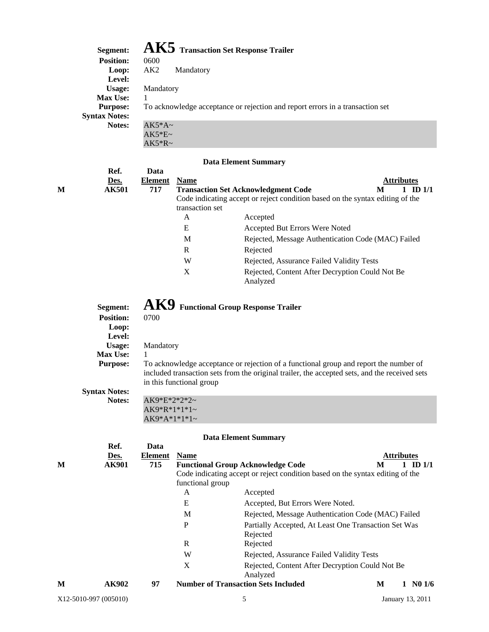## **Segment: AK5 Transaction Set Response Trailer**

| эсдшень.             | <b>TALLY</b> Transaction Set Response Tranel                                  |
|----------------------|-------------------------------------------------------------------------------|
| <b>Position:</b>     | 0600                                                                          |
| Loop:                | AK2<br>Mandatory                                                              |
| Level:               |                                                                               |
| Usage:               | Mandatory                                                                     |
| <b>Max Use:</b>      |                                                                               |
| <b>Purpose:</b>      | To acknowledge acceptance or rejection and report errors in a transaction set |
| <b>Syntax Notes:</b> |                                                                               |
| Notes:               | $AK5*A\sim$                                                                   |
|                      | $AK5*E$ ~                                                                     |
|                      | $AK5*R~$                                                                      |

#### **Data Element Summary**

|   | Ref.         | Data    |                 |                                                                               |                   |
|---|--------------|---------|-----------------|-------------------------------------------------------------------------------|-------------------|
|   | Des.         | Element | <b>Name</b>     |                                                                               | <b>Attributes</b> |
| М | <b>AK501</b> | 717     |                 | <b>Transaction Set Acknowledgment Code</b>                                    | l ID 1/1<br>M     |
|   |              |         |                 | Code indicating accept or reject condition based on the syntax editing of the |                   |
|   |              |         | transaction set |                                                                               |                   |
|   |              |         | A               | Accepted                                                                      |                   |
|   |              |         | E               | Accepted But Errors Were Noted                                                |                   |
|   |              |         | M               | Rejected, Message Authentication Code (MAC) Failed                            |                   |
|   |              |         | R               | Rejected                                                                      |                   |
|   |              |         | W               | Rejected, Assurance Failed Validity Tests                                     |                   |
|   |              |         | Χ               | Rejected, Content After Decryption Could Not Be<br>Analyzed                   |                   |

 **Segment: AK9** Functional Group Response Trailer Position: 0700 **Position: Loop: Level: Usage:** Mandatory **Max Use:** 1 **Purpose:** To acknowledge acceptance or rejection of a functional group and report the number of included transaction sets from the original trailer, the accepted sets, and the received sets in this functional group **Syntax Notes: Notes:** AK9\*E\*2\*2\*2~ AK9\*R\*1\*1\*1~

#### **Data Element Summary**

AK9\*A\*1\*1\*1~

|   | Ref.                  | Data    |                  |                                                                               |                        |
|---|-----------------------|---------|------------------|-------------------------------------------------------------------------------|------------------------|
|   | Des.                  | Element | <b>Name</b>      |                                                                               | <b>Attributes</b>      |
| M | AK901                 | 715     |                  | <b>Functional Group Acknowledge Code</b>                                      | ID <sub>1/1</sub><br>M |
|   |                       |         |                  | Code indicating accept or reject condition based on the syntax editing of the |                        |
|   |                       |         | functional group |                                                                               |                        |
|   |                       |         | A                | Accepted                                                                      |                        |
|   |                       |         | E                | Accepted, But Errors Were Noted.                                              |                        |
|   |                       |         | M                | Rejected, Message Authentication Code (MAC) Failed                            |                        |
|   |                       |         | P                | Partially Accepted, At Least One Transaction Set Was                          |                        |
|   |                       |         |                  | Rejected                                                                      |                        |
|   |                       |         | R                | Rejected                                                                      |                        |
|   |                       |         | W                | Rejected, Assurance Failed Validity Tests                                     |                        |
|   |                       |         | X                | Rejected, Content After Decryption Could Not Be                               |                        |
|   |                       |         |                  | Analyzed                                                                      |                        |
| M | AK902                 | 97      |                  | <b>Number of Transaction Sets Included</b>                                    | $1 \, N01/6$<br>M      |
|   | X12-5010-997 (005010) |         |                  | 5                                                                             | January 13, 2011       |